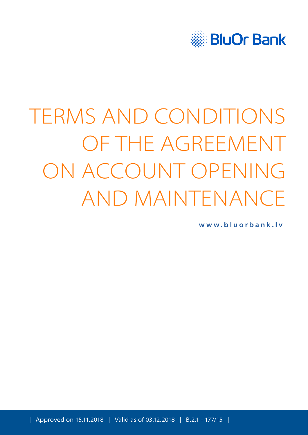

# TERMS AND CONDITIONS OF THE AGREEMENT ON ACCOUNT OPENING AND MAINTENANCE

**[www.bluorbank.lv](https://www.bluorbank.lv/en/index)**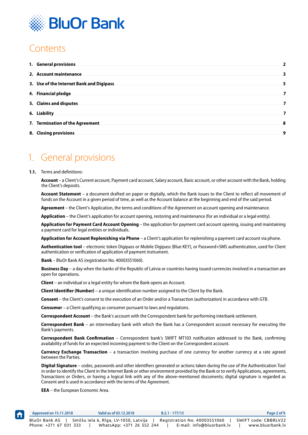

## **Contents**

| 1. General provisions entertainment and a series of the contract of the contract of the contract of the contract of the contract of the contract of the contract of the contract of the contract of the contract of the contra |
|--------------------------------------------------------------------------------------------------------------------------------------------------------------------------------------------------------------------------------|
| 2. Account maintenance and account of the contract of the contract of the contract of the contract of the contract of the contract of the contract of the contract of the contract of the contract of the contract of the cont |
| 3. Use of the Internet Bank and Digipass with an accommodal contract to the state of the Internet Bank and Digipass                                                                                                            |
|                                                                                                                                                                                                                                |
|                                                                                                                                                                                                                                |
|                                                                                                                                                                                                                                |
|                                                                                                                                                                                                                                |
|                                                                                                                                                                                                                                |

## 1. General provisions

#### **1.1.** Terms and definitions:

**Account** – a Client's Current account, Payment card account, Salary account, Basic account, or other account with the Bank, holding the Client's deposits.

**Account Statement** – a document drafted on paper or digitally, which the Bank issues to the Client to reflect all movement of funds on the Account in a given period of time, as well as the Account balance at the beginning and end of the said period.

**Agreement** – the Client's Application, the terms and conditions of the Agreement on account opening and maintenance.

**Application** – the Client's application for account opening, restoring and maintenance (for an individual or a legal entity).

**Application for Payment Card Account Opening** – the application for payment card account opening, issuing and maintaining a payment card for legal entities or individuals.

**Application for Account Replenishing via Phone** – a Client's application for replenishing a payment card account via phone.

**Authentication tool** – electronic token Digipass or Mobile Digipass (Blue KEY), or Password+SMS authentication, used for Client authentication or verification of application of payment instrument.

**Bank** – BluOr Bank AS (registration No. 40003551060).

**Business Day** – a day when the banks of the Republic of Latvia or countries having issued currencies involved in a transaction are open for operations.

**Client** – an individual or a legal entity for whom the Bank opens an Account.

**Client Identifier (Number)** – a unique identification number assigned to the Client by the Bank.

**Consent** – the Client's consent to the execution of an Order and/or a Transaction (authorization) in accordance with GTB.

**Consumer** – a Client qualifying as consumer pursuant to laws and regulations.

**Correspondent Account** – the Bank's account with the Correspondent bank for performing interbank settlement.

**Correspondent Bank** – an intermediary bank with which the Bank has a Correspondent account necessary for executing the Bank's payments.

**Correspondent Bank Confirmation** – Correspondent bank's SWIFT MT103 notification addressed to the Bank, confirming availability of funds for an expected incoming payment to the Client on the Correspondent account.

**Currency Exchange Transaction** – a transaction involving purchase of one currency for another currency at a rate agreed between the Parties.

**Digital Signature** – codes, passwords and other identifiers generated or actions taken during the use of the Authentication Tool in order to identify the Client in the Internet Bank or other environment provided by the Bank or to verify Applications, agreements, Transactions or Orders, or having a logical link with any of the above-mentioned documents; digital signature is regarded as Consent and is used in accordance with the terms of the Agreement.

**EEA** – the European Economic Area.

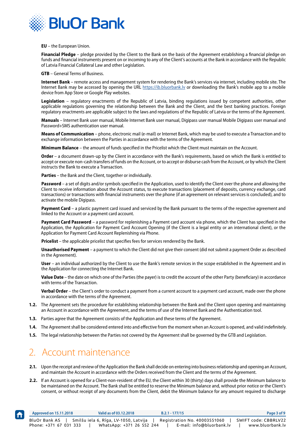<span id="page-2-0"></span>

**EU** – the European Union.

**Financial Pledge** – pledge provided by the Client to the Bank on the basis of the Agreement establishing a financial pledge on funds and financial instruments present on or incoming to any of the Client's accounts at the Bank in accordance with the Republic of Latvia Financial Collateral Law and other Legislation.

**GTB** – General Terms of Business.

**Internet Bank** – remote access and management system for rendering the Bank's services via internet, including mobile site. The Internet Bank may be accessed by opening the URL https://ib.bluorbank.ly or downloading the Bank's mobile app to a mobile device from App Store or Google Play websites.

**Legislation** – regulatory enactments of the Republic of Latvia, binding regulations issued by competent authorities, other applicable regulations governing the relationship between the Bank and the Client, and the best banking practices. Foreign regulatory enactments are applicable subject to the laws and regulations of the Republic of Latvia or the terms of the Agreement.

**Manuals** – Internet Bank user manual, Mobile Internet Bank user manual, Digipass user manual Mobile Digipass user manual and Password+SMS authentication user manual.

**Means of Communication** – phone, electronic mail (e-mail) or Internet Bank, which may be used to execute a Transaction and to exchange information between the Parties in accordance with the terms of the Agreement.

**Minimum Balance** – the amount of funds specified in the Pricelist which the Client must maintain on the Account.

**Order** – a document drawn-up by the Client in accordance with the Bank's requirements, based on which the Bank is entitled to accept or execute non-cash transfers of funds on the Account, or to accept or disburse cash from the Account, or by which the Client instructs the Bank to execute a Transaction.

**Parties** – the Bank and the Client, together or individually.

**Password** – a set of digits and/or symbols specified in the Application, used to identify the Client over the phone and allowing the Client to receive information about the Account status, to execute transactions (placement of deposits, currency exchange, card transactions) or transactions with financial instruments over the phone (if an agreement on relevant services is concluded), and to activate the mobile Digipass.

**Payment Card** – a plastic payment card issued and serviced by the Bank pursuant to the terms of the respective agreement and linked to the Account or a payment card account.

**Payment Card Password** – a password for replenishing a Payment card account via phone, which the Client has specified in the Application, the Application for Payment Card Account Opening (if the Client is a legal entity or an international client), or the Application for Payment Card Account Replenishing via Phone.

**Pricelist** – the applicable pricelist that specifies fees for services rendered by the Bank.

**Unauthorised Payment** – a payment to which the Client did not give their consent (did not submit a payment Order as described in the Agreement).

**User** – an individual authorized by the Client to use the Bank's remote services in the scope established in the Agreement and in the Application for connecting the Internet Bank.

**Value Date** – the date on which one of the Parties (the payer) is to credit the account of the other Party (beneficiary) in accordance with terms of the Transaction.

**Verbal Order** – the Client's order to conduct a payment from a current account to a payment card account, made over the phone in accordance with the terms of the Agreement.

- **1.2.** The Agreement sets the procedure for establishing relationship between the Bank and the Client upon opening and maintaining an Account in accordance with the Agreement, and the terms of use of the Internet Bank and the Authentication tool.
- **1.3.** Parties agree that the Agreement consists of the Application and these terms of the Agreement.
- **1.4.** The Agreement shall be considered entered into and effective from the moment when an Account is opened, and valid indefinitely.
- **1.5.** The legal relationship between the Parties not covered by the Agreement shall be governed by the GTB and Legislation.

## 2. Account maintenance

- **2.1.** Upon the receipt and review of the Application the Bank shall decide on entering into business relationship and opening an Account, and maintain the Account in accordance with the Orders received from the Client and the terms of the Agreement.
- **2.2.** If an Account is opened for a Client-non-resident of the EU, the Client within 30 (thirty) days shall provide the Minimum balance to be maintained on the Account. The Bank shall be entitled to reserve the Minimum balance and, without prior notice or the Client's consent, or without receipt of any documents from the Client, debit the Minimum balance for any amount required to discharge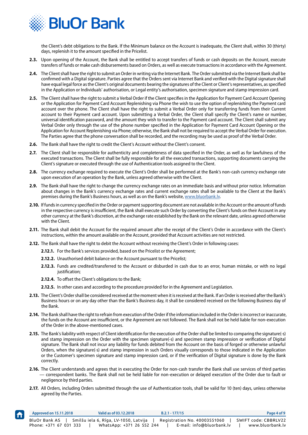

the Client's debt obligations to the Bank. If the Minimum balance on the Account is inadequate, the Client shall, within 30 (thirty) days, replenish it to the amount specified in the Pricelist.

- **2.3.** Upon opening of the Account, the Bank shall be entitled to accept transfers of funds or cash deposits on the Account, execute transfers of funds or make cash disbursements based on Orders, as well as execute transactions in accordance with the Agreement.
- **2.4.** The Client shall have the right to submit an Order in writing via the Internet Bank. The Order submitted via the Internet Bank shall be confirmed with a Digital signature. Parties agree that the Orders sent via Internet Bank and verified with the Digital signature shall have equal legal force as the Client's original documents bearing the signatures of the Client or Client's representatives, as specified in the Application or Individuals' authorisation, or Legal entity's authorisation, specimen signature and stamp impression card.
- **2.5.** The Client shall have the right to submit a Verbal Order if the Client specifies in the Application for Payment Card Account Opening or the Application for Payment Card Account Replenishing via Phone the wish to use the option of replenishing the Payment card account over the phone. The Client shall have the right to submit a Verbal Order only for transferring funds from their Current account to their Payment card account. Upon submitting a Verbal Order, the Client shall specify the Client's name or number, universal identification password, and the amount they wish to transfer to the Payment card account. The Client shall submit any Verbal Order only through the use of the phone number specified in the Application for Payment Card Account Opening or the Application for Account Replenishing via Phone; otherwise, the Bank shall not be required to accept the Verbal Order for execution. The Parties agree that the phone conversation shall be recorded, and the recording may be used as proof of the Verbal Order.
- **2.6.** The Bank shall have the right to credit the Client's Account without the Client's consent.
- **2.7.** The Client shall be responsible for authenticity and completeness of data specified in the Order, as well as for lawfulness of the executed transactions. The Client shall be fully responsible for all the executed transactions, supporting documents carrying the Client's signature or executed through the use of Authentication tools assigned to the Client.
- **2.8.** The currency exchange required to execute the Client's Order shall be performed at the Bank's non-cash currency exchange rate upon execution of an operation by the Bank, unless agreed otherwise with the Client.
- **2.9.** The Bank shall have the right to change the currency exchange rates on an immediate basis and without prior notice. Information about changes in the Bank's currency exchange rates and current exchange rates shall be available to the Client at the Bank's premises during the Bank's Business hours, as well as on the Bank's website, [www.bluorbank.lv](https://www.bluorbank.lv/en/index).
- **2.10.** If funds in currency specified in the Order or payment supporting document are not available in the Account or the amount of funds in the respective currency is insufficient, the Bank shall execute such Order by converting the Client's funds on their Account in any other currency at the Bank's discretion, at the exchange rate established by the Bank on the relevant date, unless agreed otherwise with the Client.
- 2.11. The Bank shall debit the Account for the required amount after the receipt of the Client's Order in accordance with the Client's instructions, within the amount available on the Account, provided that Account activities are not restricted.
- **2.12.** The Bank shall have the right to debit the Account without receiving the Client's Order in following cases:
	- **2.12.1.** For the Bank's services provided, based on the Pricelist or the Agreement;
		- **2.12.2.** Unauthorised debit balance on the Account pursuant to the Pricelist;
		- **2.12.3.** Funds are credited/transferred to the Account or disburded in cash due to an error, human mistake, or with no legal justification;
		- **2.12.4.** To offset the Client's obligations to the Bank;
		- **2.12.5.** In other cases and according to the procedure provided for in the Agreement and Legislation.
- **2.13.** The Client's Order shall be considered received at the moment when it is received at the Bank. If an Order is received after the Bank's Business hours or on any day other than the Bank's Business day, it shall be considered received on the following Business day of the Bank.
- **2.14.** The Bank shall have the right to refrain from execution of the Order if the information included in the Order is incorrect or inaccurate, the funds on the Account are insufficient, or the Agreement are not followed. The Bank shall not be held liable for non-execution of the Order in the above-mentioned cases.
- **2.15.** The Bank's liability with respect of Client identification for the execution of the Order shall be limited to comparing the signature(-s) and stamp impression on the Order with the specimen signature(-s) and specimen stamp impression or verification of Digital signature. The Bank shall not incur any liability for funds debited from the Account on the basis of forged or otherwise unlawful Orders, when the signature(-s) and stamp impression in such Orders visually corresponds to those indicated in the Application or the Customer's specimen signature and stamp impression card, or if the verification of Digital signature is done by the Bank correctly.
- **2.16.** The Client understands and agrees that in executing the Order for non-cash transfer the Bank shall use services of third parties — correspondent banks. The Bank shall not be held liable for non-execution or delayed execution of the Order due to fault or negligence by third parties.
- **2.17.** All Orders, including Orders submitted through the use of Authentication tools, shall be valid for 10 (ten) days, unless otherwise agreed by the Parties.

| <b>f</b> | Approved on 15.11.2018                         | Valid as of 03.12.2018                | $B.2.1 - 177/15$                                          | Page 4 of 9                              |
|----------|------------------------------------------------|---------------------------------------|-----------------------------------------------------------|------------------------------------------|
|          | <b>BluOr Bank AS</b><br>Phone: +371 67 031 333 | Smilšu iela 6, Rīga, LV-1050, Latvija | Registration No. 40003551060<br>E-mail: info@bluorbank.lv | SWIFT code: CBBRLV22<br>www.bluorbank.lv |
|          |                                                | WhatsApp: +371 26 552 244             |                                                           |                                          |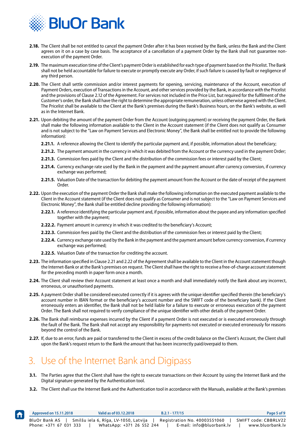<span id="page-4-0"></span>

- **2.18.** The Client shall be not entitled to cancel the payment Order after it has been received by the Bank, unless the Bank and the Client agrees on it on a case by case basis. The acceptance of a cancellation of a payment Order by the Bank shall not guarantee nonexecution of the payment Order.
- **2.19.** The maximum execution time of the Client's payment Order is established for each type of payment based on the Pricelist. The Bank shall not be held accountable for failure to execute or promptly execute any Order, if such failure is caused by fault or negligence of any third person.
- **2.20.** The Client shall settle commission and/or interest payments for opening, servicing, maintenance of the Account, execution of Payment Orders, execution of Transactions in the Account, and other services provided by the Bank, in accordance with the Pricelist and the provisions of Clause 2.12 of the Agreement. For services not included in the Price List, but required for the fulfilment of the Customer's order, the Bank shall have the right to determine the appropriate remuneration, unless otherwise agreed with the Client. The Pricelist shall be available to the Client at the Bank's premises during the Bank's Business hours, on the Bank's website, as well as in the Internet Bank.
- **2.21.** Upon debiting the amount of the payment Order from the Account (outgoing payment) or receiving the payment Order, the Bank shall make the following information available to the Client in the Account statement (if the Client does not qualify as Consumer and is not subject to the "Law on Payment Services and Electronic Money", the Bank shall be entitled not to provide the following information):
	- **2.21.1.** A reference allowing the Client to identify the particular payment and, if possible, information about the beneficiary;
	- **2.21.2.** The payment amount in the currency in which it was debited from the Account or the currency used in the payment Order;
	- **2.21.3.** Commission fees paid by the Client and the distribution of the commission fees or interest paid by the Client;
	- **2.21.4.** Currency exchange rate used by the Bank in the payment and the payment amount after currency conversion, if currency exchange was performed;
	- **2.21.5.** Valuation Date of the transaction for debiting the payment amount from the Account or the date of receipt of the payment Order.
- **2.22.** Upon the execution of the payment Order the Bank shall make the following information on the executed payment available to the Client in the Account statement (if the Client does not qualify as Consumer and is not subject to the "Law on Payment Services and Electronic Money", the Bank shall be entitled decline providing the following information):
	- **2.22.1.** A reference identifying the particular payment and, if possible, information about the payee and any information specified together with the payment;
	- **2.22.2.** Payment amount in currency in which it was credited to the beneficiary's Account;
	- **2.22.3.** Commission fees paid by the Client and the distribution of the commission fees or interest paid by the Client;
	- **2.22.4.** Currency exchange rate used by the Bank in the payment and the payment amount before currency conversion, if currency exchange was performed;
	- **2.22.5.** Valuation Date of the transaction for crediting the account.
- **2.23.** The information specified in Clause 2.21 and 2.22 of the Agreement shall be available to the Client in the Account statement though the Internet-Bank or at the Bank's premises on request. The Client shall have the right to receive a free-of-charge account statement for the preceding month in paper form once a month.
- **2.24.** The Client shall review their Account statement at least once a month and shall immediately notify the Bank about any incorrect, erroneous, or unauthorised payments.
- **2.25.** A payment Order shall be considered executed correctly if it is agrees with the unique identifier specified therein (the beneficiary's account number in IBAN format or the beneficiary's account number and the SWIFT code of the beneficiary bank). If the Client erroneously enters an identifier, the Bank shall not be held liable for a failure to execute or erroneous execution of the payment Order. The Bank shall not required to verify compliance of the unique identifier with other details of the payment Order.
- **2.26.** The Bank shall reimburse expenses incurred by the Client if a payment Order is not executed or is executed erroneously through the fault of the Bank. The Bank shall not accept any responsibility for payments not executed or executed erroneously for reasons beyond the control of the Bank.
- **2.27.** If, due to an error, funds are paid or transferred to the Client in excess of the credit balance on the Client's Account, the Client shall upon the Bank's request return to the Bank the amount that has been incorrectly paid/overpaid to them.

# 3. Use of the Internet Bank and Digipass

- **3.1.** The Parties agree that the Client shall have the right to execute transactions on their Account by using the Internet Bank and the Digital signature generated by the Authentication tool.
- **3.2.** The Client shall use the Internet Bank and the Authentication tool in accordance with the Manuals, available at the Bank's premises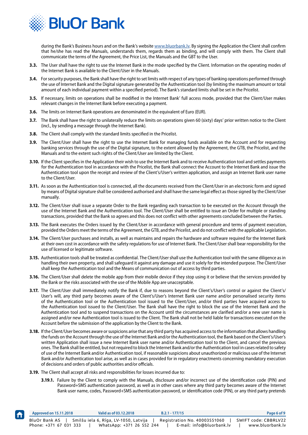

during the Bank's Business hours and on the Bank's website www.bluorbank.ly. By signing the Application the Client shall confirm that he/she has read the Manuals, understands them, regards them as binding, and will comply with them. The Client shall communicate the terms of the Agreement, the Price List, the Manuals and the GBT to the User.

- **3.3.** The User shall have the right to use the Internet Bank in the mode specified by the Client. Information on the operating modes of the Internet Bank is available to the Client/User in the Manuals.
- **3.4.** For security purposes, the Bank shall have the right to set limits with respect of any types of banking operations performed through the use of Internet Bank and the Digital signature generated by the Authentication tool (by limiting the maximum amount or total amount of each individual payment within a specified period). The Bank's standard limits shall be set in the Pricelist.
- **3.5.** If necessary, limits on operations shall be modified in the Internet Bank' full access mode, provided that the Client/User makes relevant changes in the Internet Bank before executing a payment.
- **3.6.** The limits on Internet Bank operations are denominated in the equivalent of Euro (EUR).
- **3.7.** The Bank shall have the right to unilaterally reduce the limits on operations given 60 (sixty) days' prior written notice to the Client (incl., by sending a message through the Internet Bank).
- **3.8.** The Client shall comply with the standard limits specified in the Pricelist.
- **3.9.** The Client/User shall have the right to use the Internet Bank for managing funds available on the Account and for requesting banking services through the use of the Digital signature, to the extent allowed by the Agreement, the GTB, the Pricelist, and the Manuals and to the extent such rights of the Client/User are limited by the Client.
- **3.10.** If the Client specifies in the Application their wish to use the Internet Bank and to receive Authentication tool and settles payments for the Authentication tool in accordance with the Pricelist, the Bank shall connect the Account to the Internet Bank and issue the Authentication tool upon the receipt and review of the Client's/User's written application, and assign an Internet Bank user name to the Client/User.
- **3.11.** As soon as the Authentication tool is connected, all the documents received from the Client/User in an electronic form and signed by means of Digital signature shall be considered authorised and shall have the same legal effect as those signed by the Client/User manually.
- **3.12.** The Client/User shall issue a separate Order to the Bank regarding each transaction to be executed on the Account through the use of the Internet Bank and the Authentication tool. The Client/User shall be entitled to issue an Order for multiple or standing transactions, provided that the Bank so agrees and this does not conflict with other agreements concluded between the Parties.
- **3.13.** The Bank executes the Orders issued by the Client/User in accordance with general procedure and terms of payment execution, provided the Orders meet the terms of the Agreement, the GTB, and the Pricelist, and do not conflict with the applicable Legislation.
- **3.14.** The Client/User purchases and installs, as well as maintains and repairs the hardware and software required for the Internet Bank at their own cost in accordance with the safety regulations for use of Internet Bank. The Client/User shall bear responsibility for the use of licensed or legitimate software.
- **3.15.** Authentication tools shall be treated as confidential. The Client/User shall use the Authentication tool with the same diligence as in handling their own property, and shall safeguard it against any damage and use it solely for the intended purpose. The Client/User shall keep the Authentication tool and the Means of communication out of access by third parties.
- **3.16.** The Client/User shall delete the mobile app from their mobile device if they stop using it or believe that the services provided by the Bank or the risks associated with the use of the Mobile App are unacceptable.
- **3.17.** The Client/User shall immediately notify the Bank if, due to reasons beyond the Client's/User's control or against the Client's/ User's will, any third party becomes aware of the Client's/User's Internet Bank user name and/or personalised security items of the Authentication tool or the Authentication tool issued to the Client/User, and/or third parties have acquired access to the Authentication tool issued to the Client/User. The Bank shall have the right to block the use of the Internet Bank and the Authentication tool and to suspend transactions on the Account until the circumstances are clarified and/or a new user name is assigned and/or new Authentication tool is issued to the Client. The Bank shall not be held liable for transactions executed on the Account before the submission of the application by the Client to the Bank.
- **3.18.** If the Client/User becomes aware or suspicions arise that any third party has acquired access to the information that allows handling the funds on the Account through the use of the Internet Bank and/or the Authentication tool, the Bank based on the Client's/User's written Application shall issue a new Internet Bank user name and/or Authentication tool to the Client, and cancel the previous ones. The Bank shall be entitled, but not required to block the Internet Bank and/or the Authentication tool in cases related to safety of use of the Internet Bank and/or Authentication tool, if reasonable suspicions about unauthorized or malicious use of the Internet Bank and/or Authentication tool arise, as well as in cases provided for in regulatory enactments concerning mandatory execution of decisions and orders of public authorities and/or officials.
- **3.19.** The Client shall accept all risks and responsibilities for losses incurred due to:

f

**3.19.1.** Failure by the Client to comply with the Manuals, disclosure and/or incorrect use of the identification code (PIN) and Password+SMS authentication password, as well as in other cases where any third party becomes aware of the Internet Bank user name, codes, Password+SMS authentication password, or identification code (PIN), or any third party pretends

| Approved on 15.11.2018 | Valid as of 03.12.2018                | $B.2.1 - 177/15$             | Page 6 of 9          |
|------------------------|---------------------------------------|------------------------------|----------------------|
| BluOr Bank AS          | Smilšu iela 6, Rīga, LV-1050, Latvija | Registration No. 40003551060 | SWIFT code: CBBRLV22 |
| Phone: +371 67 031 333 | WhatsApp: +371 26 552 244             | E-mail: info@bluorbank.lv    | www.bluorbank.lv     |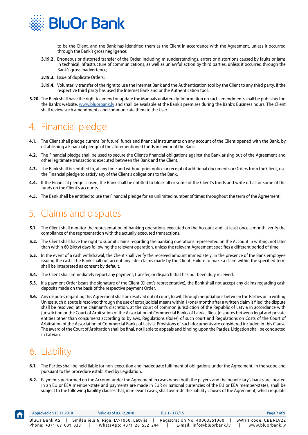<span id="page-6-0"></span>

to be the Client, and the Bank has identified them as the Client in accordance with the Agreement, unless it occurred through the Bank's gross negligence;

- **3.19.2.** Erroneous or distorted transfer of the Order, including misunderstandings, errors or distortions caused by faults or jams in technical infrastructure of communications, as well as unlawful action by third parties, unless it occurred through the Bank's gross inadvertence;
- **3.19.3.** Issue of duplicate Orders;
- **3.19.4.** Voluntarily transfer of the right to use the Internet Bank and the Authentication tool by the Client to any third party, if the respective third party has used the Internet Bank and or the Authentication tool.
- **3.20.** The Bank shall have the right to amend or update the Manuals unilaterally. Information on such amendments shall be published on the Bank's website, www.bluorbank.ly and shall be available at the Bank's premises during the Bank's Business hours. The Client shall review such amendments and communicate them to the User.

# 4. Financial pledge

- **4.1.** The Client shall pledge current (or future) funds and financial instruments on any account of the Client opened with the Bank, by establishing a Financial pledge of the aforementioned funds in favour of the Bank.
- **4.2.** The Financial pledge shall be used to secure the Client's financial obligations against the Bank arising out of the Agreement and other legitimate transactions executed between the Bank and the Client.
- **4.3.** The Bank shall be entitled to, at any time and without prior notice or receipt of additional documents or Orders from the Client, use the Financial pledge to satisfy any of the Client's obligations to the Bank.
- **4.4.** If the Financial pledge is used, the Bank shall be entitled to block all or some of the Client's funds and write off all or some of the funds on the Client's accounts.
- **4.5.** The Bank shall be entitled to use the Financial pledge for an unlimited number of times throughout the term of the Agreement.

#### 5. Claims and disputes

- **5.1.** The Client shall monitor the representation of banking operations executed on the Account and, at least once a month, verify the compliance of the representation with the actually executed transactions.
- **5.2.** The Client shall have the right to submit claims regarding the banking operations represented on the Account in writing, not later than within 60 (sixty) days following the relevant operation, unless the relevant Agreement specifies a different period of time.
- **5.3.** In the event of a cash withdrawal, the Client shall verify the received amount immediately, in the presence of the Bank employee issuing the cash. The Bank shall not accept any later claims made by the Client. Failure to make a claim within the specified term shall be interpreted as consent by default.
- **5.4.** The Client shall immediately report any payment, transfer, or dispatch that has not been duly received.
- **5.5.** If a payment Order bears the signature of the Client (Client's representative), the Bank shall not accept any claims regarding cash deposits made on the basis of the respective payment Order.
- **5.6.** Any disputes regarding this Agreement shall be resolved out of court, to wit, through negotiations between the Parties or in writing. Unless such dispute is resolved through the use of extrajudicial means within 1 (one) month after a written claim is filed, the dispute shall be resolved, at the claimant's discretion, at the court of common jurisdiction of the Republic of Latvia in accordance with jurisdiction or the Court of Arbitration of the Association of Commercial Banks of Latvia, Riga, (disputes between legal and private entities other than consumers) according to bylaws, Regulations (Rules) of such court and Regulations on Costs of the Court of Arbitration of the Association of Commercial Banks of Latvia. Provisions of such documents are considered included in this Clause. The award of the Court of Arbitration shall be final, not liable to appeals and binding upon the Parties. Litigation shall be conducted in Latvian.

# 6. Liability

- **6.1.** The Parties shall be held liable for non-execution and inadequate fulfilment of obligations under the Agreement, in the scope and pursuant to the procedure established by Legislation.
- **6.2.** Payments performed on the Account under the Agreement in cases when both the payer's and the beneficiary's banks are located in an EU or EEA member-state and payments are made in EUR or national currencies of the EU or EEA member-states, shall be subject to the following liability clauses that, in relevant cases, shall override the liability clauses of the Agreement, which regulate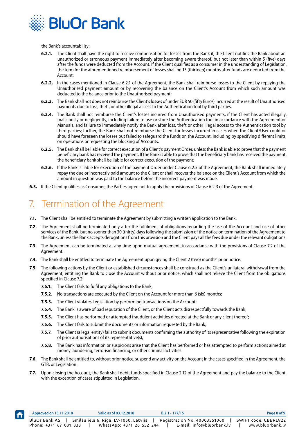<span id="page-7-0"></span>

the Bank's accountability:

- **6.2.1.** The Client shall have the right to receive compensation for losses from the Bank if, the Client notifies the Bank about an unauthorized or erroneous payment immediately after becoming aware thereof, but not later than within 5 (five) days after the funds were deducted from the Account. If the Client qualifies as a consumer in the understanding of Legislation, the term for the aforementioned reimbursement of losses shall be 13 (thirteen) months after funds are deducted from the Account;
- **6.2.2.** In the cases mentioned in Clause 6.2.1 of the Agreement, the Bank shall reimburse losses to the Client by repaying the Unauthorised payment amount or by recovering the balance on the Client's Account from which such amount was deducted to the balance prior to the Unauthorised payment;
- **6.2.3.** The Bank shall not does not reimburse the Client's losses of under EUR 50 (fifty Euros) incurred at the result of Unauthorised payments due to loss, theft, or other illegal access to the Authentication tool by third parties.
- **6.2.4.** The Bank shall not reimburse the Client's losses incurred from Unauthorised payments, if the Client has acted illegally, maliciously or negligently, including failure to use or store the Authentication tool in accordance with the Agreement or Manuals, and failure to immediately notify the Bank after loss, theft or other illegal access to the Authentication tool by third parties; further, the Bank shall not reimburse the Client for losses incurred in cases when the Client/User could or should have foreseen the losses but failed to safeguard the funds on the Account, including by specifying different limits on operations or requesting the blocking of Accounts.
- **6.2.5.** The Bank shall be liable for correct execution of a Client's payment Order, unless the Bank is able to prove that the payment beneficiary bank has received the payment. If the Bank is able to prove that the beneficiary bank has received the payment, the beneficiary bank shall be liable for correct execution of the payment;
- **6.2.6.** If the Bank is liable for execution of the payment Order under Clause 6.2.5 of the Agreement, the Bank shall immediately repay the due or incorrectly paid amount to the Client or shall recover the balance on the Client's Account from which the amount in question was paid to the balance before the incorrect payment was made.
- **6.3.** If the Client qualifies as Consumer, the Parties agree not to apply the provisions of Clause 6.2.3 of the Agreement.

# 7. Termination of the Agreement

- **7.1.** The Client shall be entitled to terminate the Agreement by submitting a written application to the Bank.
- **7.2.** The Agreement shall be terminated only after the fulfilment of obligations regarding the use of the Account and use of other services of the Bank, but no sooner than 30 (thirty) days following the submission of the notice on termination of the Agreement to the Bank, unless the Bank accepts derogations from this provision and the Client pays all the fees due under the relevant obligations.
- **7.3.** The Agreement can be terminated at any time upon mutual agreement, in accordance with the provisions of Clause 7.2 of the Agreement.
- **7.4.** The Bank shall be entitled to terminate the Agreement upon giving the Client 2 (two) months' prior notice.
- **7.5.** The following actions by the Client or established circumstances shall be construed as the Client's unilateral withdrawal from the Agreement, entitling the Bank to close the Account without prior notice, which shall not relieve the Client from the obligations specified in Clause 7.2:
	- **7.5.1.** The Client fails to fulfil any obligations to the Bank;
	- **7.5.2.** No transactions are executed by the Client on the Account for more than 6 (six) months;
	- **7.5.3.** The Client violates Legislation by performing transactions on the Account;
	- **7.5.4.** The Bank is aware of bad reputation of the Client, or the Client acts disrespectfully towards the Bank;
	- **7.5.5.** The Client has performed or attempted fraudulent activities directed at the Bank or any client thereof;
	- **7.5.6.** The Client fails to submit the documents or information requested by the Bank;
	- **7.5.7.** The Client (a legal entity) fails to submit documents confirming the authority of its representative following the expiration of prior authorisations of its representative(s);
	- **7.5.8.** The Bank has information or suspicions arise that the Client has performed or has attempted to perform actions aimed at money laundering, terrorism financing, or other criminal activities.
- **7.6.** The Bank shall be entitled to, without prior notice, suspend any activity on the Account in the cases specified in the Agreement, the GTB, or Legislation.
- **7.7.** Upon closing the Account, the Bank shall debit funds specified in Clause 2.12 of the Agreement and pay the balance to the Client, with the exception of cases stipulated in Legislation.